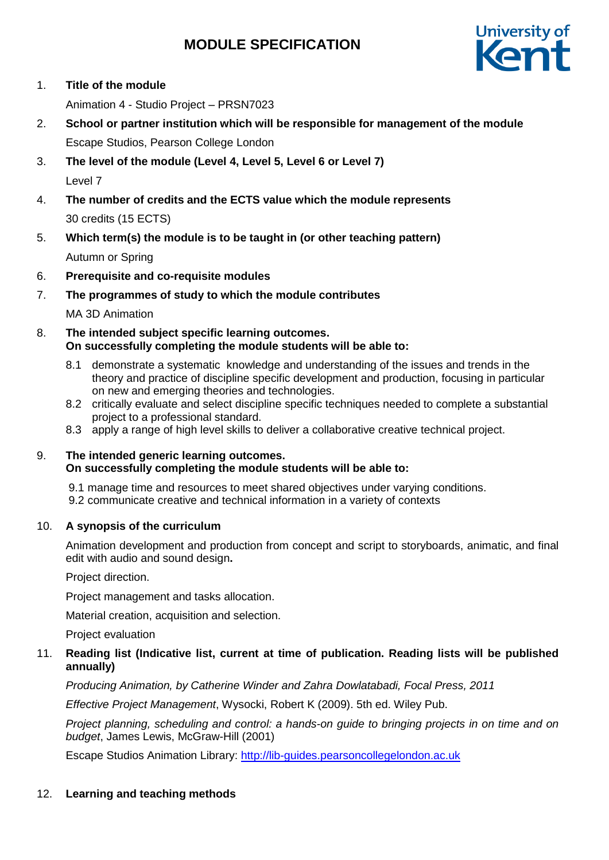# **MODULE SPECIFICATION**



1. **Title of the module**

Animation 4 - Studio Project – PRSN7023

- 2. **School or partner institution which will be responsible for management of the module** Escape Studios, Pearson College London
- 3. **The level of the module (Level 4, Level 5, Level 6 or Level 7)** Level 7
- 4. **The number of credits and the ECTS value which the module represents**  30 credits (15 ECTS)
- 5. **Which term(s) the module is to be taught in (or other teaching pattern)**

Autumn or Spring

- 6. **Prerequisite and co-requisite modules**
- 7. **The programmes of study to which the module contributes**

MA 3D Animation

- 8. **The intended subject specific learning outcomes. On successfully completing the module students will be able to:**
	- 8.1 demonstrate a systematic knowledge and understanding of the issues and trends in the theory and practice of discipline specific development and production, focusing in particular on new and emerging theories and technologies.
	- 8.2 critically evaluate and select discipline specific techniques needed to complete a substantial project to a professional standard.
	- 8.3 apply a range of high level skills to deliver a collaborative creative technical project.

# 9. **The intended generic learning outcomes. On successfully completing the module students will be able to:**

9.1 manage time and resources to meet shared objectives under varying conditions. 9.2 communicate creative and technical information in a variety of contexts

# 10. **A synopsis of the curriculum**

Animation development and production from concept and script to storyboards, animatic, and final edit with audio and sound design**.**

Project direction.

Project management and tasks allocation.

Material creation, acquisition and selection.

Project evaluation

# 11. **Reading list (Indicative list, current at time of publication. Reading lists will be published annually)**

*Producing Animation, by Catherine Winder and Zahra Dowlatabadi, Focal Press, 2011*

*Effective Project Management*, Wysocki, Robert K (2009). 5th ed. Wiley Pub.

*Project planning, scheduling and control: a hands-on guide to bringing projects in on time and on budget*, James Lewis, McGraw-Hill (2001)

Escape Studios Animation Library: [http://lib-guides.pearsoncollegelondon.ac.uk](https://urldefense.proofpoint.com/v2/url?u=http-3A__lib-2Dguides.pearsoncollegelondon.ac.uk&d=DwMFaQ&c=0YLnzTkWOdJlub_y7qAx8Q&r=SpDSvozb703YwkXZ2yDQYI1lZ4AMWS_xY3tIzXhDKRM&m=Wo7EOP_-8zVCHZXwF_I5sDe9ZB-grFmVDA3TdcQblIY&s=WU9Q4fPopBQT9LD44xKhkKjXmHBxHntpfyVFWcTzTk8&e=)

# 12. **Learning and teaching methods**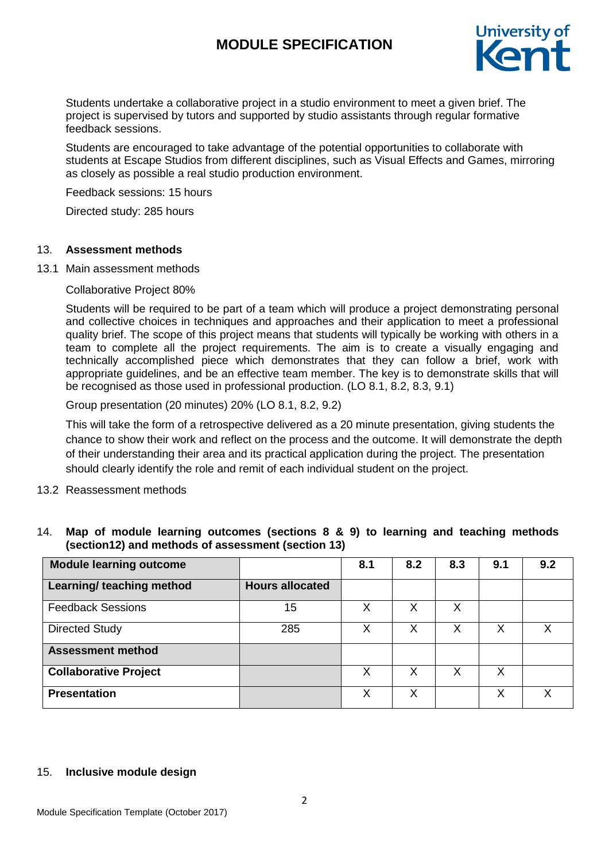# **MODULE SPECIFICATION**



Students undertake a collaborative project in a studio environment to meet a given brief. The project is supervised by tutors and supported by studio assistants through regular formative feedback sessions.

Students are encouraged to take advantage of the potential opportunities to collaborate with students at Escape Studios from different disciplines, such as Visual Effects and Games, mirroring as closely as possible a real studio production environment.

Feedback sessions: 15 hours

Directed study: 285 hours

#### 13. **Assessment methods**

13.1 Main assessment methods

Collaborative Project 80%

Students will be required to be part of a team which will produce a project demonstrating personal and collective choices in techniques and approaches and their application to meet a professional quality brief. The scope of this project means that students will typically be working with others in a team to complete all the project requirements. The aim is to create a visually engaging and technically accomplished piece which demonstrates that they can follow a brief, work with appropriate guidelines, and be an effective team member. The key is to demonstrate skills that will be recognised as those used in professional production. (LO 8.1, 8.2, 8.3, 9.1)

Group presentation (20 minutes) 20% (LO 8.1, 8.2, 9.2)

This will take the form of a retrospective delivered as a 20 minute presentation, giving students the chance to show their work and reflect on the process and the outcome. It will demonstrate the depth of their understanding their area and its practical application during the project. The presentation should clearly identify the role and remit of each individual student on the project.

13.2 Reassessment methods

# 14. **Map of module learning outcomes (sections 8 & 9) to learning and teaching methods (section12) and methods of assessment (section 13)**

| <b>Module learning outcome</b> |                        | 8.1 | 8.2 | 8.3 | 9.1 | 9.2 |
|--------------------------------|------------------------|-----|-----|-----|-----|-----|
| Learning/ teaching method      | <b>Hours allocated</b> |     |     |     |     |     |
| <b>Feedback Sessions</b>       | 15                     | Χ   | X   | X   |     |     |
| <b>Directed Study</b>          | 285                    | X   | х   | Х   | Х   |     |
| <b>Assessment method</b>       |                        |     |     |     |     |     |
| <b>Collaborative Project</b>   |                        | X   | Χ   | Χ   | Χ   |     |
| <b>Presentation</b>            |                        | Χ   | Χ   |     | Х   |     |

#### 15. **Inclusive module design**